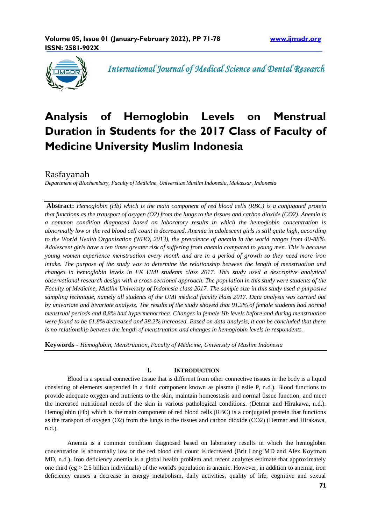

 *International Journal of Medical Science and Dental Research*

# **Analysis of Hemoglobin Levels on Menstrual Duration in Students for the 2017 Class of Faculty of Medicine University Muslim Indonesia**

Rasfayanah

*Department of Biochemistry, Faculty of Medicine, Universitas Muslim Indonesia, Makassar, Indonesia*

**Abstract:** *Hemoglobin (Hb) which is the main component of red blood cells (RBC) is a conjugated protein that functions as the transport of oxygen (O2) from the lungs to the tissues and carbon dioxide (CO2). Anemia is a common condition diagnosed based on laboratory results in which the hemoglobin concentration is abnormally low or the red blood cell count is decreased. Anemia in adolescent girls is still quite high, according to the World Health Organization (WHO, 2013), the prevalence of anemia in the world ranges from 40-88%. Adolescent girls have a ten times greater risk of suffering from anemia compared to young men. This is because young women experience menstruation every month and are in a period of growth so they need more iron intake. The purpose of the study was to determine the relationship between the length of menstruation and changes in hemoglobin levels in FK UMI students class 2017. This study used a descriptive analytical observational research design with a cross-sectional approach. The population in this study were students of the Faculty of Medicine, Muslim University of Indonesia class 2017. The sample size in this study used a purposive*  sampling technique, namely all students of the UMI medical faculty class 2017. Data analysis was carried out *by univariate and bivariate analysis. The results of the study showed that 91.2% of female students had normal menstrual periods and 8.8% had hypermenorrhea. Changes in female Hb levels before and during menstruation were found to be 61.8% decreased and 38.2% increased. Based on data analysis, it can be concluded that there is no relationship between the length of menstruation and changes in hemoglobin levels in respondents.*

**Keywords** *- Hemoglobin, Menstruation, Faculty of Medicine, University of Muslim Indonesia*

## **I. INTRODUCTION**

Blood is a special connective tissue that is different from other connective tissues in the body is a liquid consisting of elements suspended in a fluid component known as plasma (Leslie P, n.d.). Blood functions to provide adequate oxygen and nutrients to the skin, maintain homeostasis and normal tissue function, and meet the increased nutritional needs of the skin in various pathological conditions. (Detmar and Hirakawa, n.d.). Hemoglobin (Hb) which is the main component of red blood cells (RBC) is a conjugated protein that functions as the transport of oxygen (O2) from the lungs to the tissues and carbon dioxide (CO2) (Detmar and Hirakawa, n.d.).

Anemia is a common condition diagnosed based on laboratory results in which the hemoglobin concentration is abnormally low or the red blood cell count is decreased (Brit Long MD and Alex Koyfman MD, n.d.). Iron deficiency anemia is a global health problem and recent analyzes estimate that approximately one third (eg  $> 2.5$  billion individuals) of the world's population is anemic. However, in addition to anemia, iron deficiency causes a decrease in energy metabolism, daily activities, quality of life, cognitive and sexual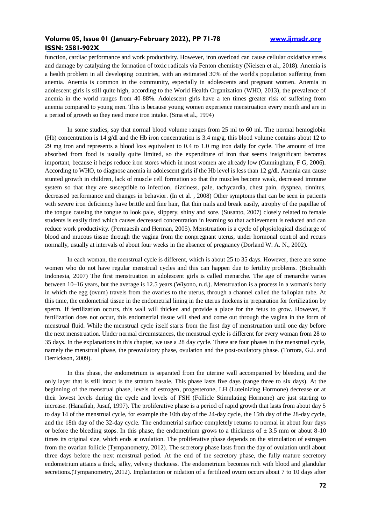function, cardiac performance and work productivity. However, iron overload can cause cellular oxidative stress and damage by catalyzing the formation of toxic radicals via Fenton chemistry (Nielsen et al., 2018). Anemia is a health problem in all developing countries, with an estimated 30% of the world's population suffering from anemia. Anemia is common in the community, especially in adolescents and pregnant women. Anemia in adolescent girls is still quite high, according to the World Health Organization (WHO, 2013), the prevalence of anemia in the world ranges from 40-88%. Adolescent girls have a ten times greater risk of suffering from anemia compared to young men. This is because young women experience menstruation every month and are in a period of growth so they need more iron intake. (Sma et al., 1994)

In some studies, say that normal blood volume ranges from 25 ml to 60 ml. The normal hemoglobin (Hb) concentration is 14 g/dl and the Hb iron concentration is 3.4 mg/g, this blood volume contains about 12 to 29 mg iron and represents a blood loss equivalent to 0.4 to 1.0 mg iron daily for cycle. The amount of iron absorbed from food is usually quite limited, so the expenditure of iron that seems insignificant becomes important, because it helps reduce iron stores which in most women are already low (Cunningham, F G, 2006). According to WHO, to diagnose anemia in adolescent girls if the Hb level is less than 12 g/dl. Anemia can cause stunted growth in children, lack of muscle cell formation so that the muscles become weak, decreased immune system so that they are susceptible to infection, dizziness, pale, tachycardia, chest pain, dyspnea, tinnitus, decreased performance and changes in behavior. (In et al. , 2008) Other symptoms that can be seen in patients with severe iron deficiency have brittle and fine hair, flat thin nails and break easily, atrophy of the papillae of the tongue causing the tongue to look pale, slippery, shiny and sore. (Susanto, 2007) closely related to female students is easily tired which causes decreased concentration in learning so that achievement is reduced and can reduce work productivity. (Permaesih and Herman, 2005). Menstruation is a cycle of physiological discharge of blood and mucous tissue through the vagina from the nonpregnant uterus, under hormonal control and recurs normally, usually at intervals of about four weeks in the absence of pregnancy (Dorland W. A. N., 2002).

In each woman, the menstrual cycle is different, which is about 25 to 35 days. However, there are some women who do not have regular menstrual cycles and this can happen due to fertility problems. (Biohealth Indonesia, 2007) The first menstruation in adolescent girls is called menarche. The age of menarche varies between 10–16 years, but the average is 12.5 years.(Wiyono, n.d.). Menstruation is a process in a woman's body in which the egg (ovum) travels from the ovaries to the uterus, through a channel called the fallopian tube. At this time, the endometrial tissue in the endometrial lining in the uterus thickens in preparation for fertilization by sperm. If fertilization occurs, this wall will thicken and provide a place for the fetus to grow. However, if fertilization does not occur, this endometrial tissue will shed and come out through the vagina in the form of menstrual fluid. While the menstrual cycle itself starts from the first day of menstruation until one day before the next menstruation. Under normal circumstances, the menstrual cycle is different for every woman from 28 to 35 days. In the explanations in this chapter, we use a 28 day cycle. There are four phases in the menstrual cycle, namely the menstrual phase, the preovulatory phase, ovulation and the post-ovulatory phase. (Tortora, G.J. and Derrickson, 2009).

In this phase, the endometrium is separated from the uterine wall accompanied by bleeding and the only layer that is still intact is the stratum basale. This phase lasts five days (range three to six days). At the beginning of the menstrual phase, levels of estrogen, progesterone, LH (Luteinizing Hormone) decrease or at their lowest levels during the cycle and levels of FSH (Follicle Stimulating Hormone) are just starting to increase. (Hanafiah, Jusuf, 1997). The proliferative phase is a period of rapid growth that lasts from about day 5 to day 14 of the menstrual cycle, for example the 10th day of the 24-day cycle, the 15th day of the 28-day cycle, and the 18th day of the 32-day cycle. The endometrial surface completely returns to normal in about four days or before the bleeding stops. In this phase, the endometrium grows to a thickness of  $\pm$  3.5 mm or about 8-10 times its original size, which ends at ovulation. The proliferative phase depends on the stimulation of estrogen from the ovarian follicle (Tympanometry, 2012). The secretory phase lasts from the day of ovulation until about three days before the next menstrual period. At the end of the secretory phase, the fully mature secretory endometrium attains a thick, silky, velvety thickness. The endometrium becomes rich with blood and glandular secretions.(Tympanometry, 2012). Implantation or nidation of a fertilized ovum occurs about 7 to 10 days after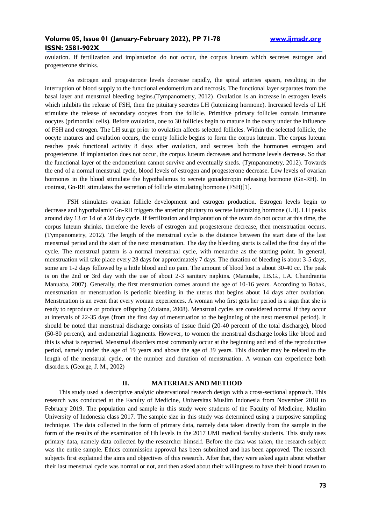ovulation. If fertilization and implantation do not occur, the corpus luteum which secretes estrogen and progesterone shrinks.

As estrogen and progesterone levels decrease rapidly, the spiral arteries spasm, resulting in the interruption of blood supply to the functional endometrium and necrosis. The functional layer separates from the basal layer and menstrual bleeding begins.(Tympanometry, 2012). Ovulation is an increase in estrogen levels which inhibits the release of FSH, then the pituitary secretes LH (lutenizing hormone). Increased levels of LH stimulate the release of secondary oocytes from the follicle. Primitive primary follicles contain immature oocytes (primordial cells). Before ovulation, one to 30 follicles begin to mature in the ovary under the influence of FSH and estrogen. The LH surge prior to ovulation affects selected follicles. Within the selected follicle, the oocyte matures and ovulation occurs, the empty follicle begins to form the corpus luteum. The corpus luteum reaches peak functional activity 8 days after ovulation, and secretes both the hormones estrogen and progesterone. If implantation does not occur, the corpus luteum decreases and hormone levels decrease. So that the functional layer of the endometrium cannot survive and eventually sheds. (Tympanometry, 2012). Towards the end of a normal menstrual cycle, blood levels of estrogen and progesterone decrease. Low levels of ovarian hormones in the blood stimulate the hypothalamus to secrete gonadotropin releasing hormone (Gn-RH). In contrast, Gn-RH stimulates the secretion of follicle stimulating hormone (FSH)[1].

FSH stimulates ovarian follicle development and estrogen production. Estrogen levels begin to decrease and hypothalamic Gn-RH triggers the anterior pituitary to secrete luteinizing hormone (LH). LH peaks around day 13 or 14 of a 28 day cycle. If fertilization and implantation of the ovum do not occur at this time, the corpus luteum shrinks, therefore the levels of estrogen and progesterone decrease, then menstruation occurs. (Tympanometry, 2012). The length of the menstrual cycle is the distance between the start date of the last menstrual period and the start of the next menstruation. The day the bleeding starts is called the first day of the cycle. The menstrual pattern is a normal menstrual cycle, with menarche as the starting point. In general, menstruation will take place every 28 days for approximately 7 days. The duration of bleeding is about 3-5 days, some are 1-2 days followed by a little blood and no pain. The amount of blood lost is about 30-40 cc. The peak is on the 2nd or 3rd day with the use of about 2-3 sanitary napkins. (Manuaba, I.B.G., I.A. Chandranita Manuaba, 2007). Generally, the first menstruation comes around the age of 10-16 years. According to Bobak, menstruation or menstruation is periodic bleeding in the uterus that begins about 14 days after ovulation. Menstruation is an event that every woman experiences. A woman who first gets her period is a sign that she is ready to reproduce or produce offspring (Zuiatna, 2008). Menstrual cycles are considered normal if they occur at intervals of 22-35 days (from the first day of menstruation to the beginning of the next menstrual period). It should be noted that menstrual discharge consists of tissue fluid (20-40 percent of the total discharge), blood (50-80 percent), and endometrial fragments. However, to women the menstrual discharge looks like blood and this is what is reported. Menstrual disorders most commonly occur at the beginning and end of the reproductive period, namely under the age of 19 years and above the age of 39 years. This disorder may be related to the length of the menstrual cycle, or the number and duration of menstruation. A woman can experience both disorders. (George, J. M., 2002)

#### **II. MATERIALS AND METHOD**

This study used a descriptive analytic observational research design with a cross-sectional approach. This research was conducted at the Faculty of Medicine, Universitas Muslim Indonesia from November 2018 to February 2019. The population and sample in this study were students of the Faculty of Medicine, Muslim University of Indonesia class 2017. The sample size in this study was determined using a purposive sampling technique. The data collected in the form of primary data, namely data taken directly from the sample in the form of the results of the examination of Hb levels in the 2017 UMI medical faculty students. This study uses primary data, namely data collected by the researcher himself. Before the data was taken, the research subject was the entire sample. Ethics commission approval has been submitted and has been approved. The research subjects first explained the aims and objectives of this research. After that, they were asked again about whether their last menstrual cycle was normal or not, and then asked about their willingness to have their blood drawn to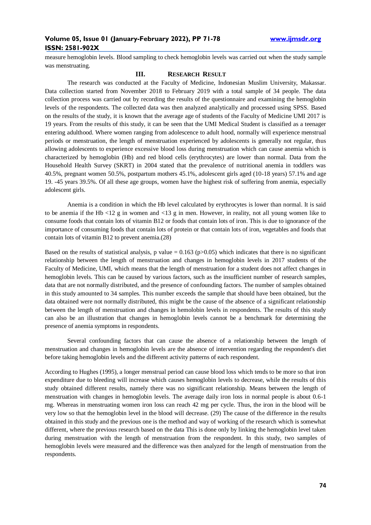measure hemoglobin levels. Blood sampling to check hemoglobin levels was carried out when the study sample was menstruating.

#### **III. RESEARCH RESULT**

The research was conducted at the Faculty of Medicine, Indonesian Muslim University, Makassar. Data collection started from November 2018 to February 2019 with a total sample of 34 people. The data collection process was carried out by recording the results of the questionnaire and examining the hemoglobin levels of the respondents. The collected data was then analyzed analytically and processed using SPSS. Based on the results of the study, it is known that the average age of students of the Faculty of Medicine UMI 2017 is 19 years. From the results of this study, it can be seen that the UMI Medical Student is classified as a teenager entering adulthood. Where women ranging from adolescence to adult hood, normally will experience menstrual periods or menstruation, the length of menstruation experienced by adolescents is generally not regular, thus allowing adolescents to experience excessive blood loss during menstruation which can cause anemia which is characterized by hemoglobin (Hb) and red blood cells (erythrocytes) are lower than normal. Data from the Household Health Survey (SKRT) in 2004 stated that the prevalence of nutritional anemia in toddlers was 40.5%, pregnant women 50.5%, postpartum mothers 45.1%, adolescent girls aged (10-18 years) 57.1% and age 19. -45 years 39.5%. Of all these age groups, women have the highest risk of suffering from anemia, especially adolescent girls.

Anemia is a condition in which the Hb level calculated by erythrocytes is lower than normal. It is said to be anemia if the Hb <12 g in women and <13 g in men. However, in reality, not all young women like to consume foods that contain lots of vitamin B12 or foods that contain lots of iron. This is due to ignorance of the importance of consuming foods that contain lots of protein or that contain lots of iron, vegetables and foods that contain lots of vitamin B12 to prevent anemia.(28)

Based on the results of statistical analysis, p value =  $0.163$  (p $> 0.05$ ) which indicates that there is no significant relationship between the length of menstruation and changes in hemoglobin levels in 2017 students of the Faculty of Medicine, UMI, which means that the length of menstruation for a student does not affect changes in hemoglobin levels. This can be caused by various factors, such as the insufficient number of research samples, data that are not normally distributed, and the presence of confounding factors. The number of samples obtained in this study amounted to 34 samples. This number exceeds the sample that should have been obtained, but the data obtained were not normally distributed, this might be the cause of the absence of a significant relationship between the length of menstruation and changes in hemolobin levels in respondents. The results of this study can also be an illustration that changes in hemoglobin levels cannot be a benchmark for determining the presence of anemia symptoms in respondents.

Several confounding factors that can cause the absence of a relationship between the length of menstruation and changes in hemoglobin levels are the absence of intervention regarding the respondent's diet before taking hemoglobin levels and the different activity patterns of each respondent.

According to Hughes (1995), a longer menstrual period can cause blood loss which tends to be more so that iron expenditure due to bleeding will increase which causes hemoglobin levels to decrease, while the results of this study obtained different results, namely there was no significant relationship. Means between the length of menstruation with changes in hemoglobin levels. The average daily iron loss in normal people is about 0.6-1 mg. Whereas in menstruating women iron loss can reach 42 mg per cycle. Thus, the iron in the blood will be very low so that the hemoglobin level in the blood will decrease. (29) The cause of the difference in the results obtained in this study and the previous one is the method and way of working of the research which is somewhat different, where the previous research based on the data This is done only by linking the hemoglobin level taken during menstruation with the length of menstruation from the respondent. In this study, two samples of hemoglobin levels were measured and the difference was then analyzed for the length of menstruation from the respondents.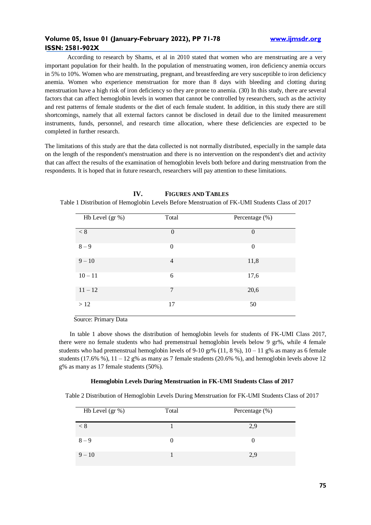According to research by Shams, et al in 2010 stated that women who are menstruating are a very important population for their health. In the population of menstruating women, iron deficiency anemia occurs in 5% to 10%. Women who are menstruating, pregnant, and breastfeeding are very susceptible to iron deficiency anemia. Women who experience menstruation for more than 8 days with bleeding and clotting during menstruation have a high risk of iron deficiency so they are prone to anemia. (30) In this study, there are several factors that can affect hemoglobin levels in women that cannot be controlled by researchers, such as the activity and rest patterns of female students or the diet of each female student. In addition, in this study there are still shortcomings, namely that all external factors cannot be disclosed in detail due to the limited measurement instruments, funds, personnel, and research time allocation, where these deficiencies are expected to be completed in further research.

The limitations of this study are that the data collected is not normally distributed, especially in the sample data on the length of the respondent's menstruation and there is no intervention on the respondent's diet and activity that can affect the results of the examination of hemoglobin levels both before and during menstruation from the respondents. It is hoped that in future research, researchers will pay attention to these limitations.

| Hb Level $(gr \%)$ | Total          | Percentage (%) |
|--------------------|----------------|----------------|
| < 8                | $\overline{0}$ | $\theta$       |
| $8-9$              | $\overline{0}$ | $\overline{0}$ |
| $9 - 10$           | 4              | 11,8           |
| $10 - 11$          | 6              | 17,6           |
| $11 - 12$          | 7              | 20,6           |
| >12                | 17             | 50             |

#### **IV. FIGURES AND TABLES**

Table 1 Distribution of Hemoglobin Levels Before Menstruation of FK-UMI Students Class of 2017

Source: Primary Data

 In table 1 above shows the distribution of hemoglobin levels for students of FK-UMI Class 2017, there were no female students who had premenstrual hemoglobin levels below 9 gr%, while 4 female students who had premenstrual hemoglobin levels of 9-10 gr% (11, 8%),  $10 - 11$  g% as many as 6 female students  $(17.6\%$  %),  $11 - 12$  g% as many as 7 female students  $(20.6\%$  %), and hemoglobin levels above 12 g% as many as 17 female students (50%).

#### **Hemoglobin Levels During Menstruation in FK-UMI Students Class of 2017**

Table 2 Distribution of Hemoglobin Levels During Menstruation for FK-UMI Students Class of 2017

| Hb Level $(\text{gr } \%)$ | Total | Percentage (%) |
|----------------------------|-------|----------------|
| < 8                        |       | 2.9            |
| $8 - 9$                    |       |                |
| $9 - 10$                   |       | 2.9            |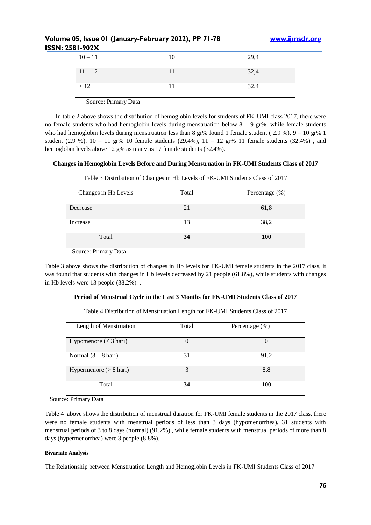| $\frac{1}{2}$ is the vertice of $\frac{1}{2}$ in the contract $\frac{1}{2}$ is $\frac{1}{2}$ in $\frac{1}{2}$ in $\frac{1}{2}$ is the contract of $\frac{1}{2}$ |              |    | $\frac{1}{2}$ iv waiting with $\frac{1}{2}$ |
|-----------------------------------------------------------------------------------------------------------------------------------------------------------------|--------------|----|---------------------------------------------|
|                                                                                                                                                                 | l: 2581-902X |    |                                             |
|                                                                                                                                                                 | $10 - 11$    | 10 | 29,4                                        |
|                                                                                                                                                                 | $11 - 12$    |    | 32,4                                        |
|                                                                                                                                                                 | >12          | 11 | 32,4                                        |
|                                                                                                                                                                 |              |    |                                             |

Source: Primary Data

 In table 2 above shows the distribution of hemoglobin levels for students of FK-UMI class 2017, there were no female students who had hemoglobin levels during menstruation below  $8 - 9$  gr%, while female students who had hemoglobin levels during menstruation less than 8 gr% found 1 female student (2.9 %), 9 – 10 gr% 1 student (2.9 %),  $10 - 11$  gr% 10 female students (29.4%),  $11 - 12$  gr% 11 female students (32.4%), and hemoglobin levels above 12 g% as many as 17 female students (32.4%).

#### **Changes in Hemoglobin Levels Before and During Menstruation in FK-UMI Students Class of 2017**

| Changes in Hb Levels | Total | Percentage (%) |
|----------------------|-------|----------------|
| Decrease             | 21    | 61,8           |
| Increase             | 13    | 38,2           |
| Total                | 34    | <b>100</b>     |

Table 3 Distribution of Changes in Hb Levels of FK-UMI Students Class of 2017

Source: Primary Data

Table 3 above shows the distribution of changes in Hb levels for FK-UMI female students in the 2017 class, it was found that students with changes in Hb levels decreased by 21 people (61.8%), while students with changes in Hb levels were 13 people (38.2%). .

## **Period of Menstrual Cycle in the Last 3 Months for FK-UMI Students Class of 2017**

Table 4 Distribution of Menstruation Length for FK-UMI Students Class of 2017

| Length of Menstruation           | Total | Percentage $(\% )$ |
|----------------------------------|-------|--------------------|
| Hypomenore $(< 3 \text{ hari})$  |       |                    |
| Normal $(3 – 8 \text{ hari})$    | 31    | 91,2               |
| Hypermenore $(> 8 \text{ hari})$ | 3     | 8,8                |
| Total                            | 34    | <b>100</b>         |

Source: Primary Data

Table 4 above shows the distribution of menstrual duration for FK-UMI female students in the 2017 class, there were no female students with menstrual periods of less than 3 days (hypomenorrhea), 31 students with menstrual periods of 3 to 8 days (normal) (91.2%) , while female students with menstrual periods of more than 8 days (hypermenorrhea) were 3 people (8.8%).

#### **Bivariate Analysis**

The Relationship between Menstruation Length and Hemoglobin Levels in FK-UMI Students Class of 2017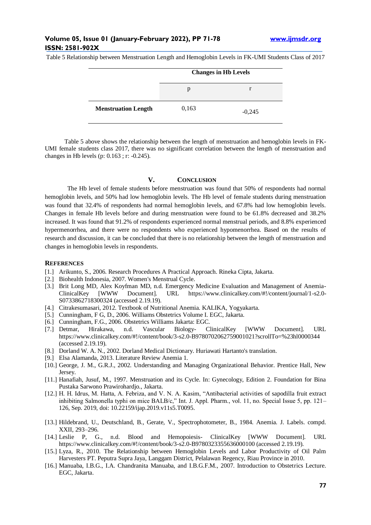Table 5 Relationship between Menstruation Length and Hemoglobin Levels in FK-UMI Students Class of 2017

|                            | <b>Changes in Hb Levels</b> |          |
|----------------------------|-----------------------------|----------|
|                            | р                           |          |
| <b>Menstruation Length</b> | 0,163                       | $-0,245$ |

Table 5 above shows the relationship between the length of menstruation and hemoglobin levels in FK-UMI female students class 2017, there was no significant correlation between the length of menstruation and changes in Hb levels (p: 0.163 ; r: -0.245).

#### **V. CONCLUSION**

The Hb level of female students before menstruation was found that 50% of respondents had normal hemoglobin levels, and 50% had low hemoglobin levels. The Hb level of female students during menstruation was found that 32.4% of respondents had normal hemoglobin levels, and 67.8% had low hemoglobin levels. Changes in female Hb levels before and during menstruation were found to be 61.8% decreased and 38.2% increased. It was found that 91.2% of respondents experienced normal menstrual periods, and 8.8% experienced hypermenorrhea, and there were no respondents who experienced hypomenorrhea. Based on the results of research and discussion, it can be concluded that there is no relationship between the length of menstruation and changes in hemoglobin levels in respondents.

#### **REFERENCES**

- [1.] Arikunto, S., 2006. Research Procedures A Practical Approach. Rineka Cipta, Jakarta.
- [2.] Biohealth Indonesia, 2007. Women's Menstrual Cycle.
- [3.] Brit Long MD, Alex Koyfman MD, n.d. Emergency Medicine Evaluation and Management of Anemia-ClinicalKey [WWW Document]. URL https://www.clinicalkey.com/#!/content/journal/1-s2.0- S0733862718300324 (accessed 2.19.19).
- [4.] Citrakesumasari, 2012. Textbook of Nutritional Anemia. KALIKA, Yogyakarta.
- [5.] Cunningham, F G, D., 2006. Williams Obstetrics Volume I. EGC, Jakarta.
- [6.] Cunningham, F.G., 2006. Obstetrics Williams Jakarta: EGC.
- [7.] Detmar, Hirakawa, n.d. Vascular Biology- ClinicalKey [WWW Document]. URL https://www.clinicalkey.com/#!/content/book/3-s2.0-B9780702062759001021?scrollTo=%23hl0000344 (accessed 2.19.19).
- [8.] Dorland W. A. N., 2002. Dorland Medical Dictionary. Huriawati Hartanto's translation.
- [9.] Elsa Alamanda, 2013. Literature Review Anemia 1.
- [10.] George, J. M., G.R.J., 2002. Understanding and Managing Organizational Behavior. Prentice Hall, New Jersey.
- [11.] Hanafiah, Jusuf, M., 1997. Menstruation and its Cycle. In: Gynecology, Edition 2. Foundation for Bina Pustaka Sarwono Prawirohardjo., Jakarta.
- [12.] H. H. Idrus, M. Hatta, A. Febriza, and V. N. A. Kasim, "Antibacterial activities of sapodilla fruit extract inhibiting Salmonella typhi on mice BALB/c," Int. J. Appl. Pharm., vol. 11, no. Special Issue 5, pp. 121– 126, Sep. 2019, doi: 10.22159/ijap.2019.v11s5.T0095.
- [13.] Hildebrand, U., Deutschland, B., Gerate, V., Spectrophotometer, B., 1984. Anemia. J. Labels. compd. XXII, 293–296.
- [14.] Leslie P, G., n.d. Blood and Hemopoiesis- ClinicalKey [WWW Document]. URL https://www.clinicalkey.com/#!/content/book/3-s2.0-B9780323355636000100 (accessed 2.19.19).
- [15.] Lyza, R., 2010. The Relationship between Hemoglobin Levels and Labor Productivity of Oil Palm Harvesters PT. Peputra Supra Jaya, Langgam District, Pelalawan Regency, Riau Province in 2010.
- [16.] Manuaba, I.B.G., I.A. Chandranita Manuaba, and I.B.G.F.M., 2007. Introduction to Obstetrics Lecture. EGC, Jakarta.